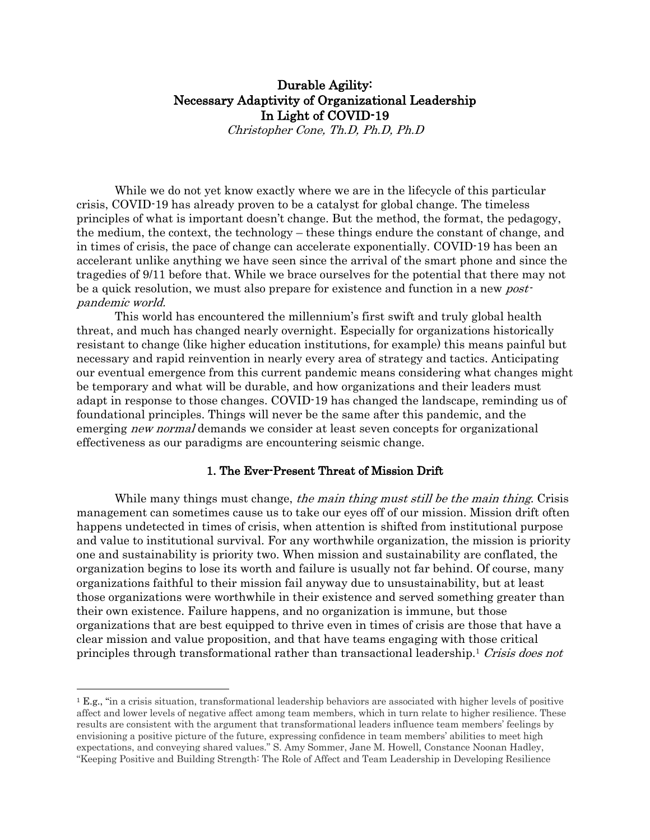# Durable Agility: Necessary Adaptivity of Organizational Leadership In Light of COVID-19

Christopher Cone, Th.D, Ph.D, Ph.D

While we do not yet know exactly where we are in the lifecycle of this particular crisis, COVID-19 has already proven to be a catalyst for global change. The timeless principles of what is important doesn't change. But the method, the format, the pedagogy, the medium, the context, the technology – these things endure the constant of change, and in times of crisis, the pace of change can accelerate exponentially. COVID-19 has been an accelerant unlike anything we have seen since the arrival of the smart phone and since the tragedies of 9/11 before that. While we brace ourselves for the potential that there may not be a quick resolution, we must also prepare for existence and function in a new *post*pandemic world.

This world has encountered the millennium's first swift and truly global health threat, and much has changed nearly overnight. Especially for organizations historically resistant to change (like higher education institutions, for example) this means painful but necessary and rapid reinvention in nearly every area of strategy and tactics. Anticipating our eventual emergence from this current pandemic means considering what changes might be temporary and what will be durable, and how organizations and their leaders must adapt in response to those changes. COVID-19 has changed the landscape, reminding us of foundational principles. Things will never be the same after this pandemic, and the emerging *new normal* demands we consider at least seven concepts for organizational effectiveness as our paradigms are encountering seismic change.

#### 1. The Ever-Present Threat of Mission Drift

While many things must change, the main thing must still be the main thing. Crisis management can sometimes cause us to take our eyes off of our mission. Mission drift often happens undetected in times of crisis, when attention is shifted from institutional purpose and value to institutional survival. For any worthwhile organization, the mission is priority one and sustainability is priority two. When mission and sustainability are conflated, the organization begins to lose its worth and failure is usually not far behind. Of course, many organizations faithful to their mission fail anyway due to unsustainability, but at least those organizations were worthwhile in their existence and served something greater than their own existence. Failure happens, and no organization is immune, but those organizations that are best equipped to thrive even in times of crisis are those that have a clear mission and value proposition, and that have teams engaging with those critical principles through transformational rather than transactional leadership.1 Crisis does not

<sup>1</sup> E.g., "in a crisis situation, transformational leadership behaviors are associated with higher levels of positive affect and lower levels of negative affect among team members, which in turn relate to higher resilience. These results are consistent with the argument that transformational leaders influence team members' feelings by envisioning a positive picture of the future, expressing confidence in team members' abilities to meet high expectations, and conveying shared values." S. Amy Sommer, Jane M. Howell, Constance Noonan Hadley, "Keeping Positive and Building Strength: The Role of Affect and Team Leadership in Developing Resilience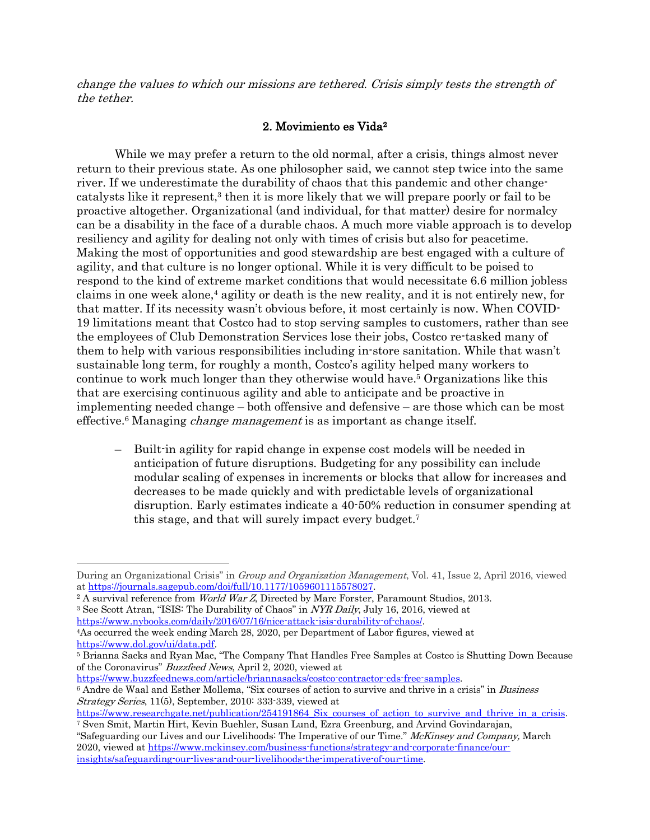change the values to which our missions are tethered. Crisis simply tests the strength of the tether.

#### 2. Movimiento es Vida2

While we may prefer a return to the old normal, after a crisis, things almost never return to their previous state. As one philosopher said, we cannot step twice into the same river. If we underestimate the durability of chaos that this pandemic and other changecatalysts like it represent, <sup>3</sup> then it is more likely that we will prepare poorly or fail to be proactive altogether. Organizational (and individual, for that matter) desire for normalcy can be a disability in the face of a durable chaos. A much more viable approach is to develop resiliency and agility for dealing not only with times of crisis but also for peacetime. Making the most of opportunities and good stewardship are best engaged with a culture of agility, and that culture is no longer optional. While it is very difficult to be poised to respond to the kind of extreme market conditions that would necessitate 6.6 million jobless claims in one week alone,4 agility or death is the new reality, and it is not entirely new, for that matter. If its necessity wasn't obvious before, it most certainly is now. When COVID-19 limitations meant that Costco had to stop serving samples to customers, rather than see the employees of Club Demonstration Services lose their jobs, Costco re-tasked many of them to help with various responsibilities including in-store sanitation. While that wasn't sustainable long term, for roughly a month, Costco's agility helped many workers to continue to work much longer than they otherwise would have. <sup>5</sup> Organizations like this that are exercising continuous agility and able to anticipate and be proactive in implementing needed change – both offensive and defensive – are those which can be most effective.<sup>6</sup> Managing *change management* is as important as change itself.

– Built-in agility for rapid change in expense cost models will be needed in anticipation of future disruptions. Budgeting for any possibility can include modular scaling of expenses in increments or blocks that allow for increases and decreases to be made quickly and with predictable levels of organizational disruption. Early estimates indicate a 40-50% reduction in consumer spending at this stage, and that will surely impact every budget.7

<sup>3</sup> See Scott Atran, "ISIS: The Durability of Chaos" in *NYR Daily*, July 16, 2016, viewed at https://www.nybooks.com/daily/2016/07/16/nice-attack-isis-durability-of-chaos/.

https://www.buzzfeednews.com/article/briannasacks/costco-contractor-cds-free-samples. <sup>6</sup> Andre de Waal and Esther Mollema, "Six courses of action to survive and thrive in a crisis" in Business

During an Organizational Crisis" in Group and Organization Management, Vol. 41, Issue 2, April 2016, viewed at https://journals.sagepub.com/doi/full/10.1177/1059601115578027.

<sup>&</sup>lt;sup>2</sup> A survival reference from *World War Z*, Directed by Marc Forster, Paramount Studios, 2013.

<sup>4</sup>As occurred the week ending March 28, 2020, per Department of Labor figures, viewed at https://www.dol.gov/ui/data.pdf.

<sup>5</sup> Brianna Sacks and Ryan Mac, "The Company That Handles Free Samples at Costco is Shutting Down Because of the Coronavirus" Buzzfeed News, April 2, 2020, viewed at

Strategy Series, 11(5), September, 2010: 333-339, viewed at

https://www.researchgate.net/publication/254191864 Six courses of action to survive and thrive in a crisis. <sup>7</sup> Sven Smit, Martin Hirt, Kevin Buehler, Susan Lund, Ezra Greenburg, and Arvind Govindarajan,

<sup>&</sup>quot;Safeguarding our Lives and our Livelihoods: The Imperative of our Time." McKinsey and Company, March 2020, viewed at https://www.mckinsey.com/business-functions/strategy-and-corporate-finance/ourinsights/safeguarding-our-lives-and-our-livelihoods-the-imperative-of-our-time.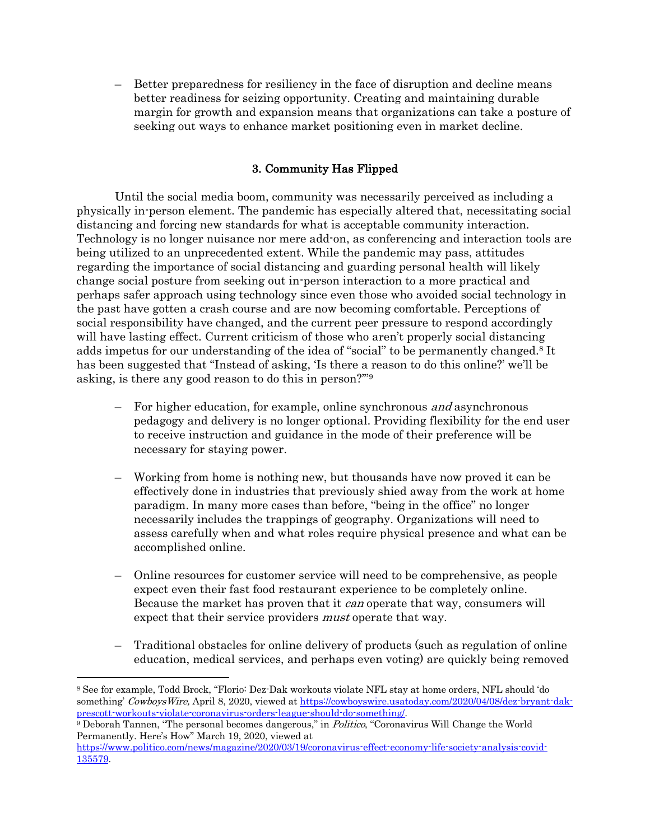– Better preparedness for resiliency in the face of disruption and decline means better readiness for seizing opportunity. Creating and maintaining durable margin for growth and expansion means that organizations can take a posture of seeking out ways to enhance market positioning even in market decline.

# 3. Community Has Flipped

Until the social media boom, community was necessarily perceived as including a physically in-person element. The pandemic has especially altered that, necessitating social distancing and forcing new standards for what is acceptable community interaction. Technology is no longer nuisance nor mere add-on, as conferencing and interaction tools are being utilized to an unprecedented extent. While the pandemic may pass, attitudes regarding the importance of social distancing and guarding personal health will likely change social posture from seeking out in-person interaction to a more practical and perhaps safer approach using technology since even those who avoided social technology in the past have gotten a crash course and are now becoming comfortable. Perceptions of social responsibility have changed, and the current peer pressure to respond accordingly will have lasting effect. Current criticism of those who aren't properly social distancing adds impetus for our understanding of the idea of "social" to be permanently changed.8 It has been suggested that "Instead of asking, 'Is there a reason to do this online?' we'll be asking, is there any good reason to do this in person?'"9

- For higher education, for example, online synchronous and asynchronous pedagogy and delivery is no longer optional. Providing flexibility for the end user to receive instruction and guidance in the mode of their preference will be necessary for staying power.
- Working from home is nothing new, but thousands have now proved it can be effectively done in industries that previously shied away from the work at home paradigm. In many more cases than before, "being in the office" no longer necessarily includes the trappings of geography. Organizations will need to assess carefully when and what roles require physical presence and what can be accomplished online.
- Online resources for customer service will need to be comprehensive, as people expect even their fast food restaurant experience to be completely online. Because the market has proven that it *can* operate that way, consumers will expect that their service providers *must* operate that way.
- Traditional obstacles for online delivery of products (such as regulation of online education, medical services, and perhaps even voting) are quickly being removed

<sup>8</sup> See for example, Todd Brock, "Florio: Dez-Dak workouts violate NFL stay at home orders, NFL should 'do something' CowboysWire, April 8, 2020, viewed at https://cowboyswire.usatoday.com/2020/04/08/dez-bryant-dakprescott-workouts-violate-coronavirus-orders-league-should-do-something/.

<sup>9</sup> Deborah Tannen, "The personal becomes dangerous," in Politico, "Coronavirus Will Change the World Permanently. Here's How" March 19, 2020, viewed at

https://www.politico.com/news/magazine/2020/03/19/coronavirus-effect-economy-life-society-analysis-covid-135579.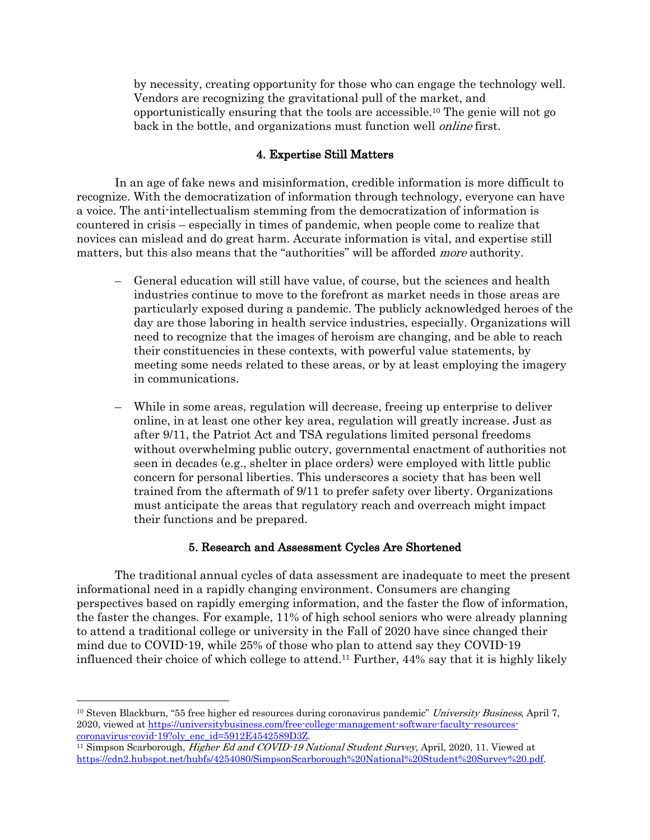by necessity, creating opportunity for those who can engage the technology well. Vendors are recognizing the gravitational pull of the market, and opportunistically ensuring that the tools are accessible. <sup>10</sup> The genie will not go back in the bottle, and organizations must function well online first.

## 4. Expertise Still Matters

In an age of fake news and misinformation, credible information is more difficult to recognize. With the democratization of information through technology, everyone can have a voice. The anti-intellectualism stemming from the democratization of information is countered in crisis – especially in times of pandemic, when people come to realize that novices can mislead and do great harm. Accurate information is vital, and expertise still matters, but this also means that the "authorities" will be afforded *more* authority.

- General education will still have value, of course, but the sciences and health industries continue to move to the forefront as market needs in those areas are particularly exposed during a pandemic. The publicly acknowledged heroes of the day are those laboring in health service industries, especially. Organizations will need to recognize that the images of heroism are changing, and be able to reach their constituencies in these contexts, with powerful value statements, by meeting some needs related to these areas, or by at least employing the imagery in communications.
- While in some areas, regulation will decrease, freeing up enterprise to deliver online, in at least one other key area, regulation will greatly increase. Just as after 9/11, the Patriot Act and TSA regulations limited personal freedoms without overwhelming public outcry, governmental enactment of authorities not seen in decades (e.g., shelter in place orders) were employed with little public concern for personal liberties. This underscores a society that has been well trained from the aftermath of 9/11 to prefer safety over liberty. Organizations must anticipate the areas that regulatory reach and overreach might impact their functions and be prepared.

### 5. Research and Assessment Cycles Are Shortened

The traditional annual cycles of data assessment are inadequate to meet the present informational need in a rapidly changing environment. Consumers are changing perspectives based on rapidly emerging information, and the faster the flow of information, the faster the changes. For example, 11% of high school seniors who were already planning to attend a traditional college or university in the Fall of 2020 have since changed their mind due to COVID-19, while 25% of those who plan to attend say they COVID-19 influenced their choice of which college to attend. <sup>11</sup> Further, 44% say that it is highly likely

<sup>&</sup>lt;sup>10</sup> Steven Blackburn, "55 free higher ed resources during coronavirus pandemic" University Business, April 7, 2020, viewed at https://universitybusiness.com/free-college-management-software-faculty-resourcescoronavirus-covid-19?oly\_enc\_id=5912E4542589D3Z.

<sup>&</sup>lt;sup>11</sup> Simpson Scarborough, *Higher Ed and COVID-19 National Student Survey*, April, 2020, 11. Viewed at https://cdn2.hubspot.net/hubfs/4254080/SimpsonScarborough%20National%20Student%20Survey%20.pdf.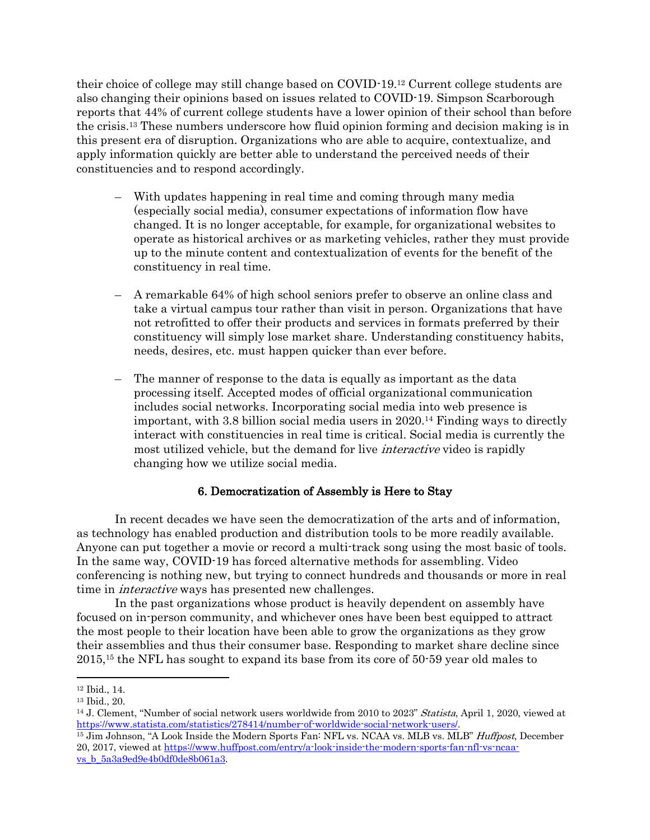their choice of college may still change based on COVID-19.12 Current college students are also changing their opinions based on issues related to COVID-19. Simpson Scarborough reports that 44% of current college students have a lower opinion of their school than before the crisis.13 These numbers underscore how fluid opinion forming and decision making is in this present era of disruption. Organizations who are able to acquire, contextualize, and apply information quickly are better able to understand the perceived needs of their constituencies and to respond accordingly.

- With updates happening in real time and coming through many media (especially social media), consumer expectations of information flow have changed. It is no longer acceptable, for example, for organizational websites to operate as historical archives or as marketing vehicles, rather they must provide up to the minute content and contextualization of events for the benefit of the constituency in real time.
- A remarkable 64% of high school seniors prefer to observe an online class and take a virtual campus tour rather than visit in person. Organizations that have not retrofitted to offer their products and services in formats preferred by their constituency will simply lose market share. Understanding constituency habits, needs, desires, etc. must happen quicker than ever before.
- The manner of response to the data is equally as important as the data processing itself. Accepted modes of official organizational communication includes social networks. Incorporating social media into web presence is important, with 3.8 billion social media users in 2020. <sup>14</sup> Finding ways to directly interact with constituencies in real time is critical. Social media is currently the most utilized vehicle, but the demand for live *interactive* video is rapidly changing how we utilize social media.

### 6. Democratization of Assembly is Here to Stay

In recent decades we have seen the democratization of the arts and of information, as technology has enabled production and distribution tools to be more readily available. Anyone can put together a movie or record a multi-track song using the most basic of tools. In the same way, COVID-19 has forced alternative methods for assembling. Video conferencing is nothing new, but trying to connect hundreds and thousands or more in real time in *interactive* ways has presented new challenges.

In the past organizations whose product is heavily dependent on assembly have focused on in-person community, and whichever ones have been best equipped to attract the most people to their location have been able to grow the organizations as they grow their assemblies and thus their consumer base. Responding to market share decline since 2015,15 the NFL has sought to expand its base from its core of 50-59 year old males to

<sup>15</sup> Jim Johnson, "A Look Inside the Modern Sports Fan: NFL vs. NCAA vs. MLB vs. MLB" Huffpost, December 20, 2017, viewed at https://www.huffpost.com/entry/a-look-inside-the-modern-sports-fan-nfl-vs-ncaavs\_b\_5a3a9ed9e4b0df0de8b061a3.

<sup>12</sup> Ibid., 14.

<sup>13</sup> Ibid., 20.

<sup>&</sup>lt;sup>14</sup> J. Clement, "Number of social network users worldwide from 2010 to 2023" Statista, April 1, 2020, viewed at https://www.statista.com/statistics/278414/number-of-worldwide-social-network-users/.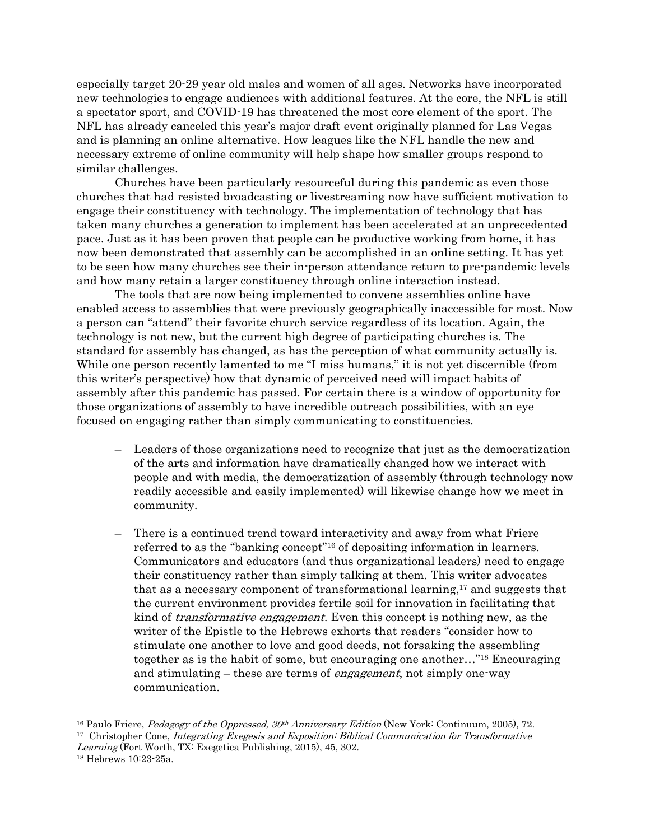especially target 20-29 year old males and women of all ages. Networks have incorporated new technologies to engage audiences with additional features. At the core, the NFL is still a spectator sport, and COVID-19 has threatened the most core element of the sport. The NFL has already canceled this year's major draft event originally planned for Las Vegas and is planning an online alternative. How leagues like the NFL handle the new and necessary extreme of online community will help shape how smaller groups respond to similar challenges.

Churches have been particularly resourceful during this pandemic as even those churches that had resisted broadcasting or livestreaming now have sufficient motivation to engage their constituency with technology. The implementation of technology that has taken many churches a generation to implement has been accelerated at an unprecedented pace. Just as it has been proven that people can be productive working from home, it has now been demonstrated that assembly can be accomplished in an online setting. It has yet to be seen how many churches see their in-person attendance return to pre-pandemic levels and how many retain a larger constituency through online interaction instead.

The tools that are now being implemented to convene assemblies online have enabled access to assemblies that were previously geographically inaccessible for most. Now a person can "attend" their favorite church service regardless of its location. Again, the technology is not new, but the current high degree of participating churches is. The standard for assembly has changed, as has the perception of what community actually is. While one person recently lamented to me "I miss humans," it is not yet discernible (from this writer's perspective) how that dynamic of perceived need will impact habits of assembly after this pandemic has passed. For certain there is a window of opportunity for those organizations of assembly to have incredible outreach possibilities, with an eye focused on engaging rather than simply communicating to constituencies.

- Leaders of those organizations need to recognize that just as the democratization of the arts and information have dramatically changed how we interact with people and with media, the democratization of assembly (through technology now readily accessible and easily implemented) will likewise change how we meet in community.
- There is a continued trend toward interactivity and away from what Friere referred to as the "banking concept"16 of depositing information in learners. Communicators and educators (and thus organizational leaders) need to engage their constituency rather than simply talking at them. This writer advocates that as a necessary component of transformational learning,17 and suggests that the current environment provides fertile soil for innovation in facilitating that kind of *transformative engagement*. Even this concept is nothing new, as the writer of the Epistle to the Hebrews exhorts that readers "consider how to stimulate one another to love and good deeds, not forsaking the assembling together as is the habit of some, but encouraging one another…"18 Encouraging and stimulating – these are terms of engagement, not simply one-way communication.

<sup>&</sup>lt;sup>16</sup> Paulo Friere, *Pedagogy of the Oppressed,*  $30<sup>th</sup>$  *Anniversary Edition* (New York: Continuum, 2005), 72. <sup>17</sup> Christopher Cone, *Integrating Exegesis and Exposition: Biblical Communication for Transformative* Learning (Fort Worth, TX: Exegetica Publishing, 2015), 45, 302.

<sup>18</sup> Hebrews 10:23-25a.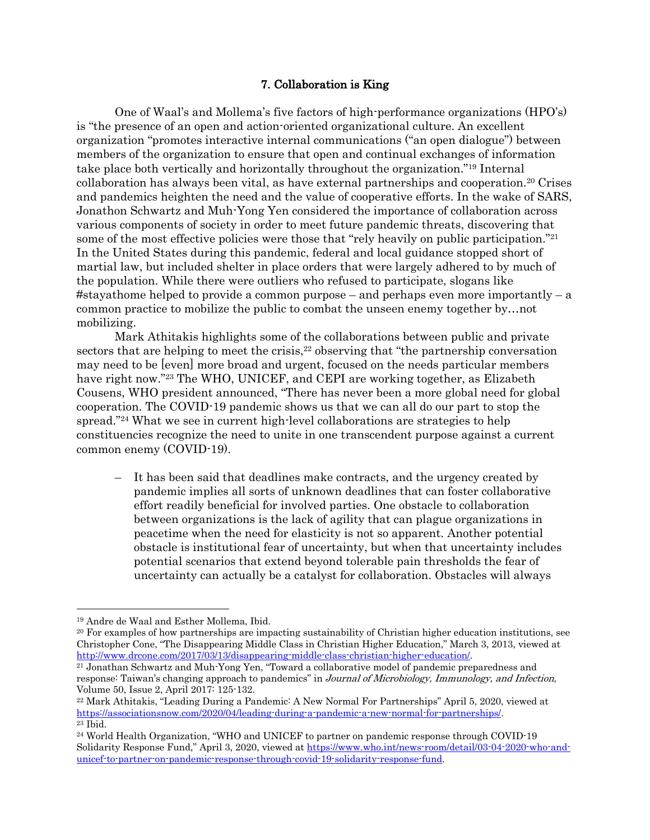## 7. Collaboration is King

One of Waal's and Mollema's five factors of high-performance organizations (HPO's) is "the presence of an open and action-oriented organizational culture. An excellent organization "promotes interactive internal communications ("an open dialogue") between members of the organization to ensure that open and continual exchanges of information take place both vertically and horizontally throughout the organization."19 Internal collaboration has always been vital, as have external partnerships and cooperation.20 Crises and pandemics heighten the need and the value of cooperative efforts. In the wake of SARS, Jonathon Schwartz and Muh-Yong Yen considered the importance of collaboration across various components of society in order to meet future pandemic threats, discovering that some of the most effective policies were those that "rely heavily on public participation."<sup>21</sup> In the United States during this pandemic, federal and local guidance stopped short of martial law, but included shelter in place orders that were largely adhered to by much of the population. While there were outliers who refused to participate, slogans like #stayathome helped to provide a common purpose – and perhaps even more importantly – a common practice to mobilize the public to combat the unseen enemy together by…not mobilizing.

Mark Athitakis highlights some of the collaborations between public and private sectors that are helping to meet the crisis,<sup>22</sup> observing that "the partnership conversation" may need to be [even] more broad and urgent, focused on the needs particular members have right now."<sup>23</sup> The WHO, UNICEF, and CEPI are working together, as Elizabeth Cousens, WHO president announced, "There has never been a more global need for global cooperation. The COVID-19 pandemic shows us that we can all do our part to stop the spread."24 What we see in current high-level collaborations are strategies to help constituencies recognize the need to unite in one transcendent purpose against a current common enemy (COVID-19).

– It has been said that deadlines make contracts, and the urgency created by pandemic implies all sorts of unknown deadlines that can foster collaborative effort readily beneficial for involved parties. One obstacle to collaboration between organizations is the lack of agility that can plague organizations in peacetime when the need for elasticity is not so apparent. Another potential obstacle is institutional fear of uncertainty, but when that uncertainty includes potential scenarios that extend beyond tolerable pain thresholds the fear of uncertainty can actually be a catalyst for collaboration. Obstacles will always

<sup>19</sup> Andre de Waal and Esther Mollema, Ibid.

<sup>20</sup> For examples of how partnerships are impacting sustainability of Christian higher education institutions, see Christopher Cone, "The Disappearing Middle Class in Christian Higher Education," March 3, 2013, viewed at http://www.drcone.com/2017/03/13/disappearing-middle-class-christian-higher-education/.

<sup>21</sup> Jonathan Schwartz and Muh-Yong Yen, "Toward a collaborative model of pandemic preparedness and response: Taiwan's changing approach to pandemics" in Journal of Microbiology, Immunology, and Infection, Volume 50, Issue 2, April 2017: 125-132.

<sup>22</sup> Mark Athitakis, "Leading During a Pandemic: A New Normal For Partnerships" April 5, 2020, viewed at https://associationsnow.com/2020/04/leading-during-a-pandemic-a-new-normal-for-partnerships/. <sup>23</sup> Ibid.

<sup>&</sup>lt;sup>24</sup> World Health Organization, "WHO and UNICEF to partner on pandemic response through COVID-19 Solidarity Response Fund," April 3, 2020, viewed at https://www.who.int/news-room/detail/03-04-2020-who-andunicef-to-partner-on-pandemic-response-through-covid-19-solidarity-response-fund.